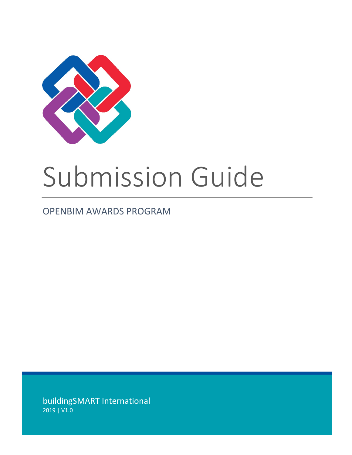

# Submission Guide

# OPENBIM AWARDS PROGRAM

buildingSMART International 2019 | V1.0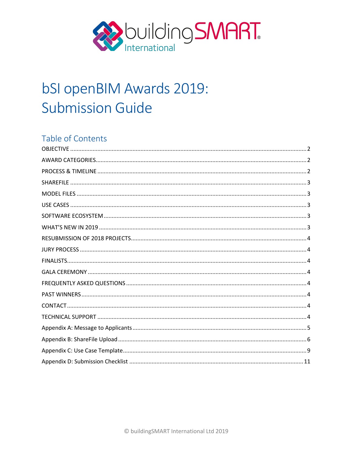

# bSI openBIM Awards 2019: **Submission Guide**

# Table of Contents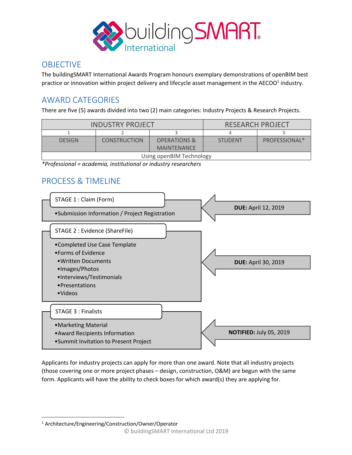

# **OBJECTIVE**

The buildingSMART International Awards Program honours exemplary demonstrations of openBIM best practice or innovation within project delivery and lifecycle asset management in the AECOO $1$  industry.

# AWARD CATEGORIES

There are five (5) awards divided into two (2) main categories: Industry Projects & Research Projects.

| <b>INDUSTRY PROJECT</b> |                     | <b>RESEARCH PROJECT</b>  |                |               |
|-------------------------|---------------------|--------------------------|----------------|---------------|
|                         |                     |                          |                |               |
| <b>DESIGN</b>           | <b>CONSTRUCTION</b> | <b>OPERATIONS &amp;</b>  | <b>STUDENT</b> | PROFESSIONAL* |
|                         |                     | <b>MAINTENANCE</b>       |                |               |
|                         |                     | Using openBIM Technology |                |               |

*\*Professional = academia, institutional or industry researchers*

# PROCESS & TIMELINE



Applicants for industry projects can apply for more than one award. Note that all industry projects (those covering one or more project phases – design, construction, O&M) are begun with the same form. Applicants will have the ability to check boxes for which award(s) they are applying for.

1 Architecture/Engineering/Construction/Owner/Operator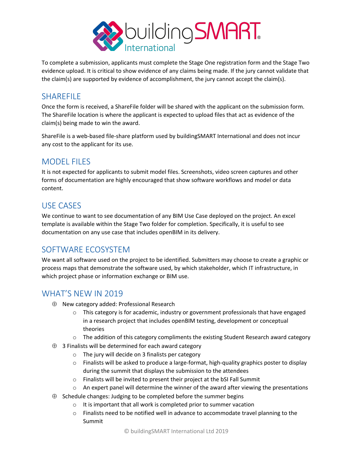

To complete a submission, applicants must complete the Stage One registration form and the Stage Two evidence upload. It is critical to show evidence of any claims being made. If the jury cannot validate that the claim(s) are supported by evidence of accomplishment, the jury cannot accept the claim(s).

## **SHAREFILE**

Once the form is received, a ShareFile folder will be shared with the applicant on the submission form. The ShareFile location is where the applicant is expected to upload files that act as evidence of the claim(s) being made to win the award.

ShareFile is a web-based file-share platform used by buildingSMART International and does not incur any cost to the applicant for its use.

# MODEL FILES

It is not expected for applicants to submit model files. Screenshots, video screen captures and other forms of documentation are highly encouraged that show software workflows and model or data content.

# USE CASES

We continue to want to see documentation of any BIM Use Case deployed on the project. An excel template is available within the Stage Two folder for completion. Specifically, it is useful to see documentation on any use case that includes openBIM in its delivery.

# SOFTWARE ECOSYSTEM

We want all software used on the project to be identified. Submitters may choose to create a graphic or process maps that demonstrate the software used, by which stakeholder, which IT infrastructure, in which project phase or information exchange or BIM use.

# WHAT'S NEW IN 2019

- $\oplus$  New category added: Professional Research
	- $\circ$  This category is for academic, industry or government professionals that have engaged in a research project that includes openBIM testing, development or conceptual theories
	- o The addition of this category compliments the existing Student Research award category
- $\oplus$  3 Finalists will be determined for each award category
	- o The jury will decide on 3 finalists per category
	- o Finalists will be asked to produce a large-format, high-quality graphics poster to display during the summit that displays the submission to the attendees
	- o Finalists will be invited to present their project at the bSI Fall Summit
	- $\circ$  An expert panel will determine the winner of the award after viewing the presentations
- $\oplus$  Schedule changes: Judging to be completed before the summer begins
	- o It is important that all work is completed prior to summer vacation
	- $\circ$  Finalists need to be notified well in advance to accommodate travel planning to the Summit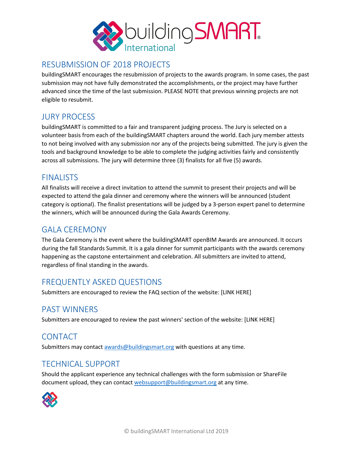

# RESUBMISSION OF 2018 PROJECTS

buildingSMART encourages the resubmission of projects to the awards program. In some cases, the past submission may not have fully demonstrated the accomplishments, or the project may have further advanced since the time of the last submission. PLEASE NOTE that previous winning projects are not eligible to resubmit.

# JURY PROCESS

buildingSMART is committed to a fair and transparent judging process. The Jury is selected on a volunteer basis from each of the buildingSMART chapters around the world. Each jury member attests to not being involved with any submission nor any of the projects being submitted. The jury is given the tools and background knowledge to be able to complete the judging activities fairly and consistently across all submissions. The jury will determine three (3) finalists for all five (5) awards.

# FINALISTS

All finalists will receive a direct invitation to attend the summit to present their projects and will be expected to attend the gala dinner and ceremony where the winners will be announced (student category is optional). The finalist presentations will be judged by a 3-person expert panel to determine the winners, which will be announced during the Gala Awards Ceremony.

# GALA CEREMONY

The Gala Ceremony is the event where the buildingSMART openBIM Awards are announced. It occurs during the fall Standards Summit. It is a gala dinner for summit participants with the awards ceremony happening as the capstone entertainment and celebration. All submitters are invited to attend, regardless of final standing in the awards.

# FREQUENTLY ASKED QUESTIONS

Submitters are encouraged to review the FAQ section of the website: [LINK HERE]

### PAST WINNERS

Submitters are encouraged to review the past winners' section of the website: [LINK HERE]

# CONTACT

Submitters may contact **awards@buildingsmart.org** with questions at any time.

# TECHNICAL SUPPORT

Should the applicant experience any technical challenges with the form submission or ShareFile document upload, they can contact websupport@buildingsmart.org at any time.

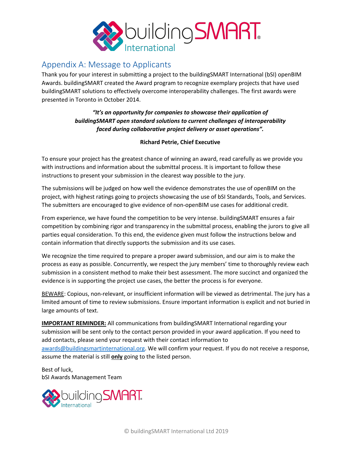

# Appendix A: Message to Applicants

Thank you for your interest in submitting a project to the buildingSMART International (bSI) openBIM Awards. buildingSMART created the Award program to recognize exemplary projects that have used buildingSMART solutions to effectively overcome interoperability challenges. The first awards were presented in Toronto in October 2014.

> *"It's an opportunity for companies to showcase their application of buildingSMART open standard solutions to current challenges of interoperability faced during collaborative project delivery or asset operations".*

#### **Richard Petrie, Chief Executive**

To ensure your project has the greatest chance of winning an award, read carefully as we provide you with instructions and information about the submittal process. It is important to follow these instructions to present your submission in the clearest way possible to the jury.

The submissions will be judged on how well the evidence demonstrates the use of openBIM on the project, with highest ratings going to projects showcasing the use of bSI Standards, Tools, and Services. The submitters are encouraged to give evidence of non-openBIM use cases for additional credit.

From experience, we have found the competition to be very intense. buildingSMART ensures a fair competition by combining rigor and transparency in the submittal process, enabling the jurors to give all parties equal consideration. To this end, the evidence given must follow the instructions below and contain information that directly supports the submission and its use cases.

We recognize the time required to prepare a proper award submission, and our aim is to make the process as easy as possible. Concurrently, we respect the jury members' time to thoroughly review each submission in a consistent method to make their best assessment. The more succinct and organized the evidence is in supporting the project use cases, the better the process is for everyone.

BEWARE: Copious, non-relevant, or insufficient information will be viewed as detrimental. The jury has a limited amount of time to review submissions. Ensure important information is explicit and not buried in large amounts of text.

**IMPORTANT REMINDER:** All communications from buildingSMART International regarding your submission will be sent only to the contact person provided in your award application. If you need to add contacts, please send your request with their contact information to awards@buildingsmartinternational.org. We will confirm your request. If you do not receive a response, assume the material is still **only** going to the listed person.

Best of luck, bSI Awards Management Team

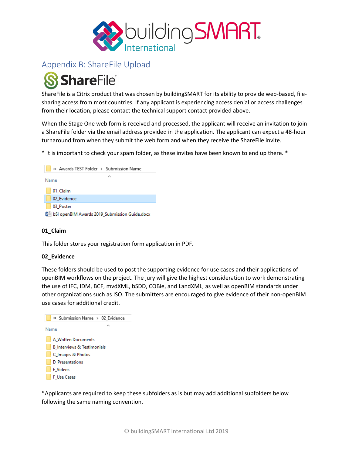

# Appendix B: ShareFile Upload

# **ShareFile**®

ShareFile is a Citrix product that was chosen by buildingSMART for its ability to provide web-based, filesharing access from most countries. If any applicant is experiencing access denial or access challenges from their location, please contact the technical support contact provided above.

When the Stage One web form is received and processed, the applicant will receive an invitation to join a ShareFile folder via the email address provided in the application. The applicant can expect a 48-hour turnaround from when they submit the web form and when they receive the ShareFile invite.

\* It is important to check your spam folder, as these invites have been known to end up there. \*



#### **01\_Claim**

This folder stores your registration form application in PDF.

#### **02\_Evidence**

These folders should be used to post the supporting evidence for use cases and their applications of openBIM workflows on the project. The jury will give the highest consideration to work demonstrating the use of IFC, IDM, BCF, mvdXML, bSDD, COBie, and LandXML, as well as openBIM standards under other organizations such as ISO. The submitters are encouraged to give evidence of their non-openBIM use cases for additional credit.



\*Applicants are required to keep these subfolders as is but may add additional subfolders below following the same naming convention.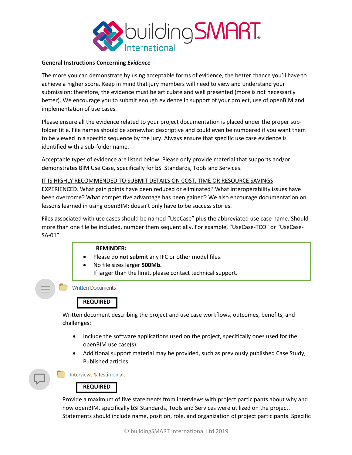

#### **General Instructions Concerning** *Evidence*

The more you can demonstrate by using acceptable forms of evidence, the better chance you'll have to achieve a higher score. Keep in mind that jury members will need to view and understand your submission; therefore, the evidence must be articulate and well presented (more is not necessarily better). We encourage you to submit enough evidence in support of your project, use of openBIM and implementation of use cases.

Please ensure all the evidence related to your project documentation is placed under the proper subfolder title. File names should be somewhat descriptive and could even be numbered if you want them to be viewed in a specific sequence by the jury. Always ensure that specific use case evidence is identified with a sub-folder name.

Acceptable types of evidence are listed below. Please only provide material that supports and/or demonstrates BIM Use Case, specifically for bSI Standards, Tools and Services.

IT IS HIGHLY RECOMMENDED TO SUBMIT DETAILS ON COST, TIME OR RESOURCE SAVINGS EXPERIENCED. What pain points have been reduced or eliminated? What interoperability issues have been overcome? What competitive advantage has been gained? We also encourage documentation on lessons learned in using openBIM; doesn't only have to be success stories.

Files associated with use cases should be named "UseCase" plus the abbreviated use case name. Should more than one file be included, number them sequentially. For example, "UseCase-TCO" or "UseCase-SA-01".

#### **REMINDER:**

- Please do **not submit** any IFC or other model files.
- No file sizes larger **500Mb.** If larger than the limit, please contact technical support.

**Written Documents** 

### **REQUIRED**

Written document describing the project and use case workflows, outcomes, benefits, and challenges:

- Include the software applications used on the project, specifically ones used for the openBIM use case(s).
- Additional support material may be provided, such as previously published Case Study, Published articles.

Interviews & Testimonials

# **REQUIRED**

Provide a maximum of five statements from interviews with project participants about why and how openBIM, specifically bSI Standards, Tools and Services were utilized on the project. Statements should include name, position, role, and organization of project participants. Specific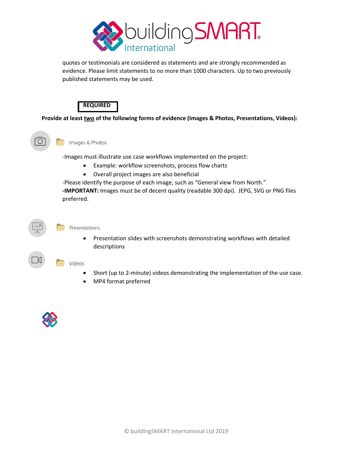

quotes or testimonials are considered as statements and are strongly recommended as evidence. Please limit statements to no more than 1000 characters. Up to two previously published statements may be used.



**Provide at least two of the following forms of evidence (Images & Photos, Presentations, Videos):**

Images & Photos l O

-Images must illustrate use case workflows implemented on the project:

- Example: workflow screenshots, process flow charts
- Overall project images are also beneficial

-Please identify the purpose of each image, such as "General view from North." **-IMPORTANT:** Images must be of decent quality (readable 300 dpi). JEPG, SVG or PNG files preferred.

#### Presentations

• Presentation slides with screenshots demonstrating workflows with detailed descriptions

#### Videos

- Short (up to 2-minute) videos demonstrating the implementation of the use case.
- MP4 format preferred



 $|()$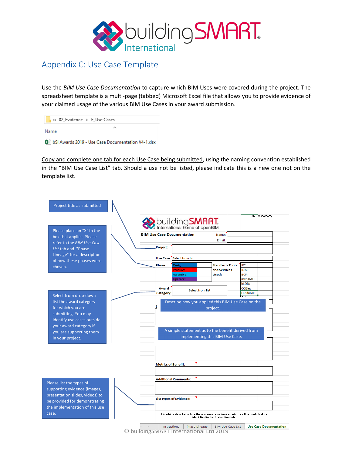

# Appendix C: Use Case Template

Use the *BIM Use Case Documentation* to capture which BIM Uses were covered during the project. The spreadsheet template is a multi-page (tabbed) Microsoft Excel file that allows you to provide evidence of your claimed usage of the various BIM Use Cases in your award submission.

| « 02 Evidence > F Use Cases                           |  |
|-------------------------------------------------------|--|
| Name                                                  |  |
| 園前 bSI Awards 2019 - Use Case Documentation V4-1.xlsx |  |

Copy and complete one tab for each Use Case being submitted, using the naming convention established in the "BIM Use Case List" tab. Should a use not be listed, please indicate this is a new one not on the template list.



© buildingSMART International Ltd 2019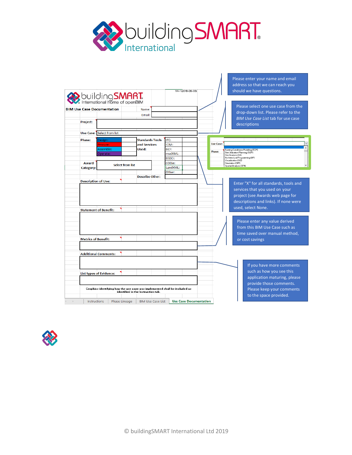

Please enter your name and email

 $\vert \ \ \vert$ 

|                                  | <b>building SMART.</b><br>International home of openBIM<br><b>BIM Use Case Documentation</b> | Name:                                                                                                            |          |                                            | Please select one use case from the                                                                |
|----------------------------------|----------------------------------------------------------------------------------------------|------------------------------------------------------------------------------------------------------------------|----------|--------------------------------------------|----------------------------------------------------------------------------------------------------|
|                                  |                                                                                              | Email:                                                                                                           |          |                                            | drop-down list. Please refer to the                                                                |
| Project:                         |                                                                                              |                                                                                                                  |          |                                            | <b>BIM Use Case List tab for use case</b><br>descriptions                                          |
|                                  | <b>Use Case: Select from list</b>                                                            |                                                                                                                  |          |                                            |                                                                                                    |
| <b>Phase:</b>                    | Design:                                                                                      | <b>Standards Tools</b>                                                                                           | IFC:     |                                            |                                                                                                    |
|                                  | Procure:                                                                                     | and Services                                                                                                     | IDM:     | <b>Use Case:</b>                           |                                                                                                    |
|                                  | Assemble:                                                                                    | Used:                                                                                                            | BCF:     | Phase:                                     | Existing Conditions Modeling (ECM)                                                                 |
|                                  | Operate:                                                                                     |                                                                                                                  | mvdXML:  |                                            | Site Utilization Planning (SUP)<br>Site Analysis (SA)                                              |
|                                  |                                                                                              |                                                                                                                  | bSDD:    |                                            | Architectural Programming (AP)<br>Visualization (VIZ)                                              |
| Award<br><b>Select from list</b> |                                                                                              | COBie:                                                                                                           |          | Simulation (SIM)<br>Spatial Analysis (SPA) |                                                                                                    |
| <b>Category:</b>                 |                                                                                              |                                                                                                                  | LandXML: |                                            |                                                                                                    |
|                                  |                                                                                              | <b>Describe Other:</b>                                                                                           | Other:   |                                            |                                                                                                    |
| <b>Description of Use:</b>       |                                                                                              |                                                                                                                  |          |                                            | Enter "X" for all standards, tools and                                                             |
| <b>Statement of Benefit:</b>     |                                                                                              |                                                                                                                  |          |                                            | project (see Awards web page for<br>descriptions and links). If none were<br>used, select None.    |
|                                  |                                                                                              |                                                                                                                  |          |                                            | Please enter any value derived<br>from this BIM Use Case such as<br>time saved over manual method, |
|                                  |                                                                                              |                                                                                                                  |          |                                            | or cost savings                                                                                    |
| <b>Metrics of Benefit:</b>       |                                                                                              |                                                                                                                  |          |                                            |                                                                                                    |
|                                  | <b>Additional Comments:</b>                                                                  |                                                                                                                  |          |                                            |                                                                                                    |
|                                  |                                                                                              |                                                                                                                  |          |                                            | If you have more comments                                                                          |
| <b>List types of Evidence:</b>   |                                                                                              |                                                                                                                  |          |                                            | such as how you see this<br>application maturing, please                                           |
|                                  |                                                                                              |                                                                                                                  |          |                                            | provide those comments.                                                                            |
|                                  |                                                                                              | Graphics identifying how the use case was implemented shall be included as<br>identified in the Instruction tab. |          |                                            | Please keep your comments<br>to the space provided.                                                |